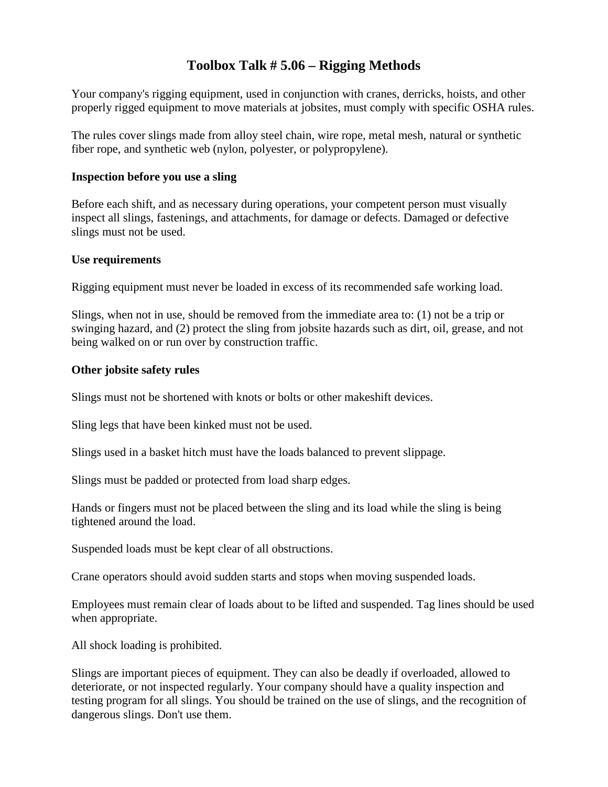### **Toolbox Talk # 5.06 – Rigging Methods**

Your company's rigging equipment, used in conjunction with cranes, derricks, hoists, and other properly rigged equipment to move materials at jobsites, must comply with specific OSHA rules.

The rules cover slings made from alloy steel chain, wire rope, metal mesh, natural or synthetic fiber rope, and synthetic web (nylon, polyester, or polypropylene).

#### **Inspection before you use a sling**

Before each shift, and as necessary during operations, your competent person must visually inspect all slings, fastenings, and attachments, for damage or defects. Damaged or defective slings must not be used.

#### **Use requirements**

Rigging equipment must never be loaded in excess of its recommended safe working load.

Slings, when not in use, should be removed from the immediate area to: (1) not be a trip or swinging hazard, and (2) protect the sling from jobsite hazards such as dirt, oil, grease, and not being walked on or run over by construction traffic.

#### **Other jobsite safety rules**

Slings must not be shortened with knots or bolts or other makeshift devices.

Sling legs that have been kinked must not be used.

Slings used in a basket hitch must have the loads balanced to prevent slippage.

Slings must be padded or protected from load sharp edges.

Hands or fingers must not be placed between the sling and its load while the sling is being tightened around the load.

Suspended loads must be kept clear of all obstructions.

Crane operators should avoid sudden starts and stops when moving suspended loads.

Employees must remain clear of loads about to be lifted and suspended. Tag lines should be used when appropriate.

All shock loading is prohibited.

Slings are important pieces of equipment. They can also be deadly if overloaded, allowed to deteriorate, or not inspected regularly. Your company should have a quality inspection and testing program for all slings. You should be trained on the use of slings, and the recognition of dangerous slings. Don't use them.